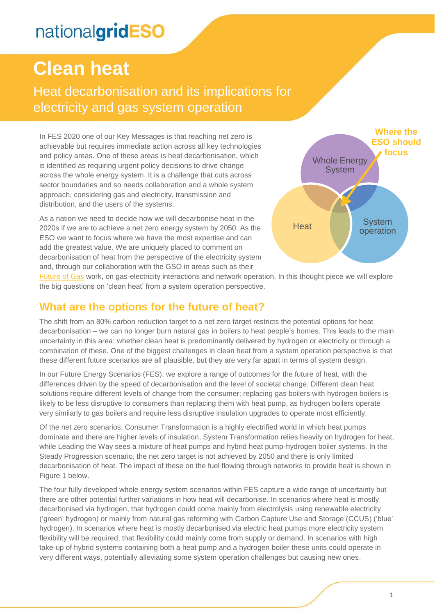# **Clean heat**

Heat decarbonisation and its implications for electricity and gas system operation

In FES 2020 one of our Key Messages is that reaching net zero is achievable but requires immediate action across all key technologies and policy areas. One of these areas is heat decarbonisation, which is identified as requiring urgent policy decisions to drive change across the whole energy system. It is a challenge that cuts across sector boundaries and so needs collaboration and a whole system approach, considering gas and electricity, transmission and distribution, and the users of the systems.

As a nation we need to decide how we will decarbonise heat in the 2020s if we are to achieve a net zero energy system by 2050. As the ESO we want to focus where we have the most expertise and can add the greatest value. We are uniquely placed to comment on decarbonisation of heat from the perspective of the electricity system and, through our collaboration with the GSO in areas such as their



[Future of Gas](https://www.nationalgrid.com/uk/gas-transmission/future-of-gas) work, on gas-electricity interactions and network operation. In this thought piece we will explore the big questions on 'clean heat' from a system operation perspective.

#### **What are the options for the future of heat?**

The shift from an 80% carbon reduction target to a net zero target restricts the potential options for heat decarbonisation – we can no longer burn natural gas in boilers to heat people's homes. This leads to the main uncertainty in this area: whether clean heat is predominantly delivered by hydrogen or electricity or through a combination of these. One of the biggest challenges in clean heat from a system operation perspective is that these different future scenarios are all plausible, but they are very far apart in terms of system design.

In our Future Energy Scenarios (FES), we explore a range of outcomes for the future of heat, with the differences driven by the speed of decarbonisation and the level of societal change. Different clean heat solutions require different levels of change from the consumer; replacing gas boilers with hydrogen boilers is likely to be less disruptive to consumers than replacing them with heat pump, as hydrogen boilers operate very similarly to gas boilers and require less disruptive insulation upgrades to operate most efficiently.

Of the net zero scenarios, Consumer Transformation is a highly electrified world in which heat pumps dominate and there are higher levels of insulation, System Transformation relies heavily on hydrogen for heat, while Leading the Way sees a mixture of heat pumps and hybrid heat pump-hydrogen boiler systems. In the Steady Progression scenario, the net zero target is not achieved by 2050 and there is only limited decarbonisation of heat. The impact of these on the fuel flowing through networks to provide heat is shown in Figure 1 below.

The four fully developed whole energy system scenarios within FES capture a wide range of uncertainty but there are other potential further variations in how heat will decarbonise. In scenarios where heat is mostly decarbonised via hydrogen, that hydrogen could come mainly from electrolysis using renewable electricity ('green' hydrogen) or mainly from natural gas reforming with Carbon Capture Use and Storage (CCUS) ('blue' hydrogen). In scenarios where heat is mostly decarbonised via electric heat pumps more electricity system flexibility will be required, that flexibility could mainly come from supply or demand. In scenarios with high take-up of hybrid systems containing both a heat pump and a hydrogen boiler these units could operate in very different ways, potentially alleviating some system operation challenges but causing new ones.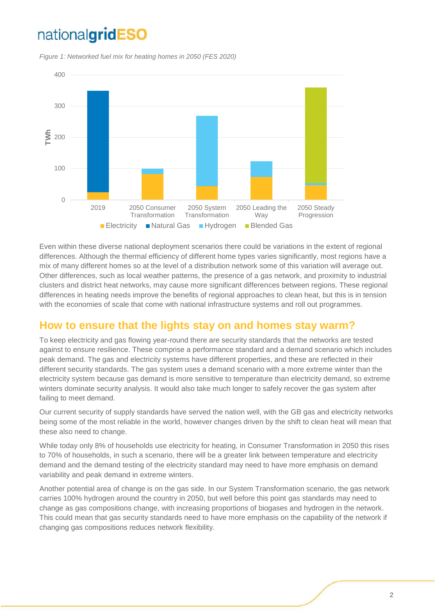*Figure 1: Networked fuel mix for heating homes in 2050 (FES 2020)*



Even within these diverse national deployment scenarios there could be variations in the extent of regional differences. Although the thermal efficiency of different home types varies significantly, most regions have a mix of many different homes so at the level of a distribution network some of this variation will average out. Other differences, such as local weather patterns, the presence of a gas network, and proximity to industrial clusters and district heat networks, may cause more significant differences between regions. These regional differences in heating needs improve the benefits of regional approaches to clean heat, but this is in tension with the economies of scale that come with national infrastructure systems and roll out programmes.

### **How to ensure that the lights stay on and homes stay warm?**

To keep electricity and gas flowing year-round there are security standards that the networks are tested against to ensure resilience. These comprise a performance standard and a demand scenario which includes peak demand. The gas and electricity systems have different properties, and these are reflected in their different security standards. The gas system uses a demand scenario with a more extreme winter than the electricity system because gas demand is more sensitive to temperature than electricity demand, so extreme winters dominate security analysis. It would also take much longer to safely recover the gas system after failing to meet demand.

Our current security of supply standards have served the nation well, with the GB gas and electricity networks being some of the most reliable in the world, however changes driven by the shift to clean heat will mean that these also need to change.

While today only 8% of households use electricity for heating, in Consumer Transformation in 2050 this rises to 70% of households, in such a scenario, there will be a greater link between temperature and electricity demand and the demand testing of the electricity standard may need to have more emphasis on demand variability and peak demand in extreme winters.

Another potential area of change is on the gas side. In our System Transformation scenario, the gas network carries 100% hydrogen around the country in 2050, but well before this point gas standards may need to change as gas compositions change, with increasing proportions of biogases and hydrogen in the network. This could mean that gas security standards need to have more emphasis on the capability of the network if changing gas compositions reduces network flexibility.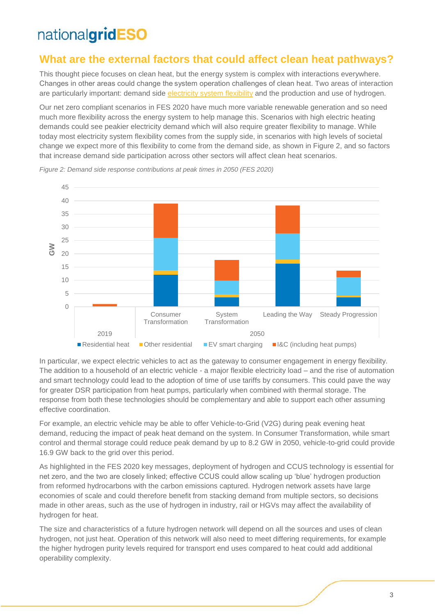### **What are the external factors that could affect clean heat pathways?**

This thought piece focuses on clean heat, but the energy system is complex with interactions everywhere. Changes in other areas could change the system operation challenges of clean heat. Two areas of interaction are particularly important: demand side [electricity system flexibility](https://www.nationalgrideso.com/document/173721/download) and the production and use of hydrogen.

Our net zero compliant scenarios in FES 2020 have much more variable renewable generation and so need much more flexibility across the energy system to help manage this. Scenarios with high electric heating demands could see peakier electricity demand which will also require greater flexibility to manage. While today most electricity system flexibility comes from the supply side, in scenarios with high levels of societal change we expect more of this flexibility to come from the demand side, as shown in Figure 2, and so factors that increase demand side participation across other sectors will affect clean heat scenarios.



*Figure 2: Demand side response contributions at peak times in 2050 (FES 2020)*

In particular, we expect electric vehicles to act as the gateway to consumer engagement in energy flexibility. The addition to a household of an electric vehicle - a major flexible electricity load – and the rise of automation and smart technology could lead to the adoption of time of use tariffs by consumers. This could pave the way for greater DSR participation from heat pumps, particularly when combined with thermal storage. The response from both these technologies should be complementary and able to support each other assuming effective coordination.

For example, an electric vehicle may be able to offer Vehicle-to-Grid (V2G) during peak evening heat demand, reducing the impact of peak heat demand on the system. In Consumer Transformation, while smart control and thermal storage could reduce peak demand by up to 8.2 GW in 2050, vehicle-to-grid could provide 16.9 GW back to the grid over this period.

As highlighted in the FES 2020 key messages, deployment of hydrogen and CCUS technology is essential for net zero, and the two are closely linked; effective CCUS could allow scaling up 'blue' hydrogen production from reformed hydrocarbons with the carbon emissions captured. Hydrogen network assets have large economies of scale and could therefore benefit from stacking demand from multiple sectors, so decisions made in other areas, such as the use of hydrogen in industry, rail or HGVs may affect the availability of hydrogen for heat.

The size and characteristics of a future hydrogen network will depend on all the sources and uses of clean hydrogen, not just heat. Operation of this network will also need to meet differing requirements, for example the higher hydrogen purity levels required for transport end uses compared to heat could add additional operability complexity.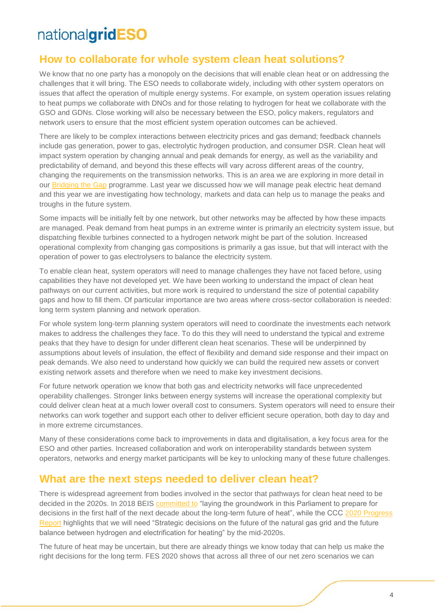### **How to collaborate for whole system clean heat solutions?**

We know that no one party has a monopoly on the decisions that will enable clean heat or on addressing the challenges that it will bring. The ESO needs to collaborate widely, including with other system operators on issues that affect the operation of multiple energy systems. For example, on system operation issues relating to heat pumps we collaborate with DNOs and for those relating to hydrogen for heat we collaborate with the GSO and GDNs. Close working will also be necessary between the ESO, policy makers, regulators and network users to ensure that the most efficient system operation outcomes can be achieved.

There are likely to be complex interactions between electricity prices and gas demand; feedback channels include gas generation, power to gas, electrolytic hydrogen production, and consumer DSR. Clean heat will impact system operation by changing annual and peak demands for energy, as well as the variability and predictability of demand, and beyond this these effects will vary across different areas of the country, changing the requirements on the transmission networks. This is an area we are exploring in more detail in our [Bridging the Gap](https://www.nationalgrideso.com/future-energy/future-energy-scenarios/bridging-the-gap-to-net-zero) programme. Last year we discussed how we will manage peak electric heat demand and this year we are investigating how technology, markets and data can help us to manage the peaks and troughs in the future system.

Some impacts will be initially felt by one network, but other networks may be affected by how these impacts are managed. Peak demand from heat pumps in an extreme winter is primarily an electricity system issue, but dispatching flexible turbines connected to a hydrogen network might be part of the solution. Increased operational complexity from changing gas compositions is primarily a gas issue, but that will interact with the operation of power to gas electrolysers to balance the electricity system.

To enable clean heat, system operators will need to manage challenges they have not faced before, using capabilities they have not developed yet. We have been working to understand the impact of clean heat pathways on our current activities, but more work is required to understand the size of potential capability gaps and how to fill them. Of particular importance are two areas where cross-sector collaboration is needed: long term system planning and network operation.

For whole system long-term planning system operators will need to coordinate the investments each network makes to address the challenges they face. To do this they will need to understand the typical and extreme peaks that they have to design for under different clean heat scenarios. These will be underpinned by assumptions about levels of insulation, the effect of flexibility and demand side response and their impact on peak demands. We also need to understand how quickly we can build the required new assets or convert existing network assets and therefore when we need to make key investment decisions.

For future network operation we know that both gas and electricity networks will face unprecedented operability challenges. Stronger links between energy systems will increase the operational complexity but could deliver clean heat at a much lower overall cost to consumers. System operators will need to ensure their networks can work together and support each other to deliver efficient secure operation, both day to day and in more extreme circumstances.

Many of these considerations come back to improvements in data and digitalisation, a key focus area for the ESO and other parties. Increased collaboration and work on interoperability standards between system operators, networks and energy market participants will be key to unlocking many of these future challenges.

### **What are the next steps needed to deliver clean heat?**

There is widespread agreement from bodies involved in the sector that pathways for clean heat need to be decided in the 2020s. In 2018 BEIS [committed to](https://assets.publishing.service.gov.uk/government/uploads/system/uploads/attachment_data/file/762546/Future_Framework_for_Heat_in_Buildings_Govt_Response__2_.pdf) "laying the groundwork in this Parliament to prepare for decisions in the first half of the next decade about the long-term future of heat", while the CCC [2020 Progress](https://www.theccc.org.uk/wp-content/uploads/2020/06/Reducing-UK-emissions-Progress-Report-to-Parliament-Committee-on-Cli.._-002-1.pdf)  [Report](https://www.theccc.org.uk/wp-content/uploads/2020/06/Reducing-UK-emissions-Progress-Report-to-Parliament-Committee-on-Cli.._-002-1.pdf) highlights that we will need "Strategic decisions on the future of the natural gas grid and the future balance between hydrogen and electrification for heating" by the mid-2020s.

The future of heat may be uncertain, but there are already things we know today that can help us make the right decisions for the long term. FES 2020 shows that across all three of our net zero scenarios we can